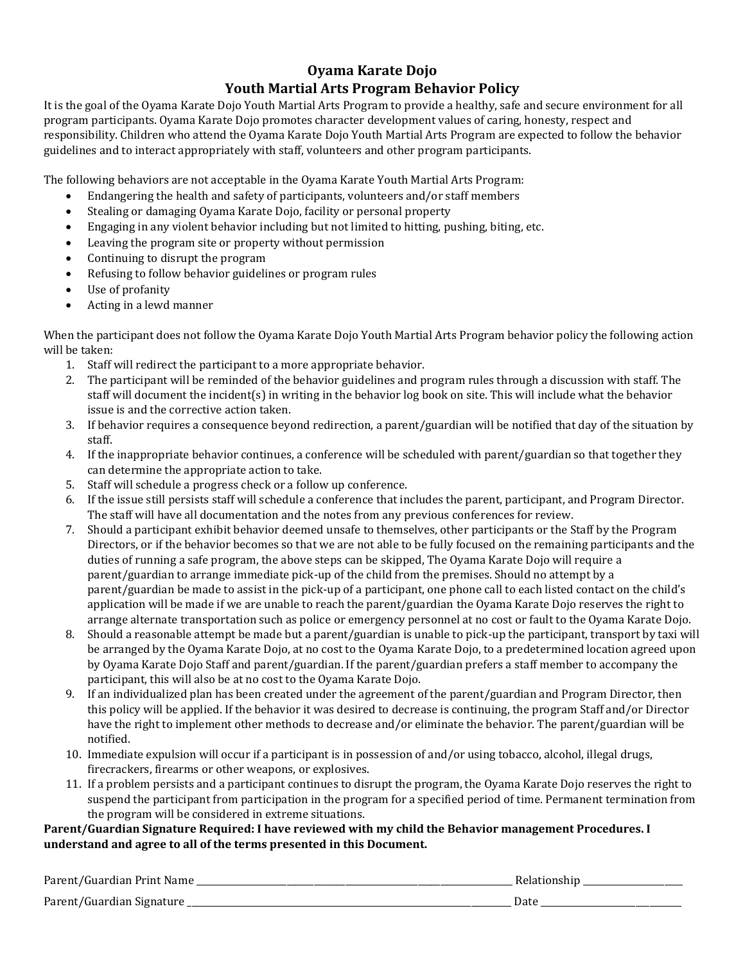## **Oyama Karate Dojo Youth Martial Arts Program Behavior Policy**

It is the goal of the Oyama Karate Dojo Youth Martial Arts Program to provide a healthy, safe and secure environment for all program participants. Oyama Karate Dojo promotes character development values of caring, honesty, respect and responsibility. Children who attend the Oyama Karate Dojo Youth Martial Arts Program are expected to follow the behavior guidelines and to interact appropriately with staff, volunteers and other program participants.

The following behaviors are not acceptable in the Oyama Karate Youth Martial Arts Program:

- Endangering the health and safety of participants, volunteers and/or staff members
- Stealing or damaging Oyama Karate Dojo, facility or personal property
- Engaging in any violent behavior including but not limited to hitting, pushing, biting, etc.
- Leaving the program site or property without permission
- Continuing to disrupt the program
- Refusing to follow behavior guidelines or program rules
- Use of profanity
- Acting in a lewd manner

When the participant does not follow the Oyama Karate Dojo Youth Martial Arts Program behavior policy the following action will be taken:

- 1. Staff will redirect the participant to a more appropriate behavior.
- 2. The participant will be reminded of the behavior guidelines and program rules through a discussion with staff. The staff will document the incident(s) in writing in the behavior log book on site. This will include what the behavior issue is and the corrective action taken.
- 3. If behavior requires a consequence beyond redirection, a parent/guardian will be notified that day of the situation by staff.
- 4. If the inappropriate behavior continues, a conference will be scheduled with parent/guardian so that together they can determine the appropriate action to take.
- 5. Staff will schedule a progress check or a follow up conference.
- 6. If the issue still persists staff will schedule a conference that includes the parent, participant, and Program Director. The staff will have all documentation and the notes from any previous conferences for review.
- 7. Should a participant exhibit behavior deemed unsafe to themselves, other participants or the Staff by the Program Directors, or if the behavior becomes so that we are not able to be fully focused on the remaining participants and the duties of running a safe program, the above steps can be skipped, The Oyama Karate Dojo will require a parent/guardian to arrange immediate pick-up of the child from the premises. Should no attempt by a parent/guardian be made to assist in the pick-up of a participant, one phone call to each listed contact on the child's application will be made if we are unable to reach the parent/guardian the Oyama Karate Dojo reserves the right to arrange alternate transportation such as police or emergency personnel at no cost or fault to the Oyama Karate Dojo.
- 8. Should a reasonable attempt be made but a parent/guardian is unable to pick-up the participant, transport by taxi will be arranged by the Oyama Karate Dojo, at no cost to the Oyama Karate Dojo, to a predetermined location agreed upon by Oyama Karate Dojo Staff and parent/guardian. If the parent/guardian prefers a staff member to accompany the participant, this will also be at no cost to the Oyama Karate Dojo.
- 9. If an individualized plan has been created under the agreement of the parent/guardian and Program Director, then this policy will be applied. If the behavior it was desired to decrease is continuing, the program Staff and/or Director have the right to implement other methods to decrease and/or eliminate the behavior. The parent/guardian will be notified.
- 10. Immediate expulsion will occur if a participant is in possession of and/or using tobacco, alcohol, illegal drugs, firecrackers, firearms or other weapons, or explosives.
- 11. If a problem persists and a participant continues to disrupt the program, the Oyama Karate Dojo reserves the right to suspend the participant from participation in the program for a specified period of time. Permanent termination from the program will be considered in extreme situations.

## **Parent/Guardian Signature Required: I have reviewed with my child the Behavior management Procedures. I understand and agree to all of the terms presented in this Document.**

| Parent/Guardian Print Nam          |      |
|------------------------------------|------|
| Parent,<br>mont/Guardian Signature | Date |